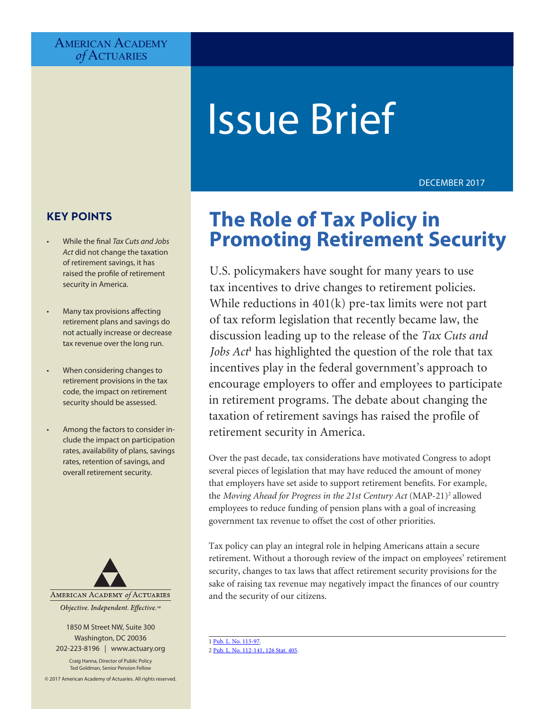## AMERICAN ACADEMY *of* Actuaries

# Issue Brief

DECEMBER 2017

## **KEY POINTS**

- While the final *Tax Cuts and Jobs Act* did not change the taxation of retirement savings, it has raised the profile of retirement security in America.
- Many tax provisions affecting retirement plans and savings do not actually increase or decrease tax revenue over the long run.
- When considering changes to retirement provisions in the tax code, the impact on retirement security should be assessed.
- Among the factors to consider include the impact on participation rates, availability of plans, savings rates, retention of savings, and overall retirement security.



1850 M Street NW, Suite 300 Washington, DC 20036 202-223-8196 | [www.actuary.org](http://www.actuary.org)

Craig Hanna, Director of Public Policy Ted Goldman, Senior Pension Fellow

© 2017 American Academy of Actuaries. All rights reserved.

# **The Role of Tax Policy in Promoting Retirement Security**

U.S. policymakers have sought for many years to use tax incentives to drive changes to retirement policies. While reductions in  $401(k)$  pre-tax limits were not part of tax reform legislation that recently became law, the discussion leading up to the release of the *Tax Cuts and Jobs Act***<sup>1</sup>** has highlighted the question of the role that tax incentives play in the federal government's approach to encourage employers to offer and employees to participate in retirement programs. The debate about changing the taxation of retirement savings has raised the profile of retirement security in America.

Over the past decade, tax considerations have motivated Congress to adopt several pieces of legislation that may have reduced the amount of money that employers have set aside to support retirement benefits. For example, the *Moving Ahead for Progress in the 21st Century Act* (MAP-21)<sup>2</sup> allowed employees to reduce funding of pension plans with a goal of increasing government tax revenue to offset the cost of other priorities.

Tax policy can play an integral role in helping Americans attain a secure retirement. Without a thorough review of the impact on employees' retirement security, changes to tax laws that affect retirement security provisions for the sake of raising tax revenue may negatively impact the finances of our country and the security of our citizens.

1 [Pub. L. No. 115-97](https://www.congress.gov/115/bills/hr1/BILLS-115hr1enr.pdf). 2 [Pub. L. No. 112-141, 126 Stat. 405](http://www.congress.gov/112/plaws/publ141/PLAW-112publ141.pdf).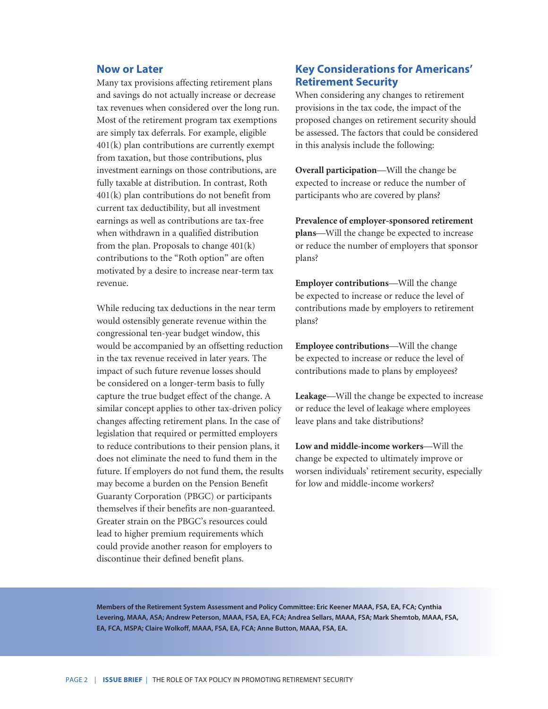#### **Now or Later**

Many tax provisions affecting retirement plans and savings do not actually increase or decrease tax revenues when considered over the long run. Most of the retirement program tax exemptions are simply tax deferrals. For example, eligible 401(k) plan contributions are currently exempt from taxation, but those contributions, plus investment earnings on those contributions, are fully taxable at distribution. In contrast, Roth 401(k) plan contributions do not benefit from current tax deductibility, but all investment earnings as well as contributions are tax-free when withdrawn in a qualified distribution from the plan. Proposals to change  $401(k)$ contributions to the "Roth option" are often motivated by a desire to increase near-term tax revenue.

While reducing tax deductions in the near term would ostensibly generate revenue within the congressional ten-year budget window, this would be accompanied by an offsetting reduction in the tax revenue received in later years. The impact of such future revenue losses should be considered on a longer-term basis to fully capture the true budget effect of the change. A similar concept applies to other tax-driven policy changes affecting retirement plans. In the case of legislation that required or permitted employers to reduce contributions to their pension plans, it does not eliminate the need to fund them in the future. If employers do not fund them, the results may become a burden on the Pension Benefit Guaranty Corporation (PBGC) or participants themselves if their benefits are non-guaranteed. Greater strain on the PBGC's resources could lead to higher premium requirements which could provide another reason for employers to discontinue their defined benefit plans.

## **Key Considerations for Americans' Retirement Security**

When considering any changes to retirement provisions in the tax code, the impact of the proposed changes on retirement security should be assessed. The factors that could be considered in this analysis include the following:

**Overall participation**—Will the change be expected to increase or reduce the number of participants who are covered by plans?

**Prevalence of employer-sponsored retirement plans**—Will the change be expected to increase or reduce the number of employers that sponsor plans?

**Employer contributions**—Will the change be expected to increase or reduce the level of contributions made by employers to retirement plans?

**Employee contributions**—Will the change be expected to increase or reduce the level of contributions made to plans by employees?

**Leakage**—Will the change be expected to increase or reduce the level of leakage where employees leave plans and take distributions?

**Low and middle-income workers**—Will the change be expected to ultimately improve or worsen individuals' retirement security, especially for low and middle-income workers?

**Members of the Retirement System Assessment and Policy Committee: Eric Keener MAAA, FSA, EA, FCA; Cynthia Levering, MAAA, ASA; Andrew Peterson, MAAA, FSA, EA, FCA; Andrea Sellars, MAAA, FSA; Mark Shemtob, MAAA, FSA, EA, FCA, MSPA; Claire Wolkoff, MAAA, FSA, EA, FCA; Anne Button, MAAA, FSA, EA.**